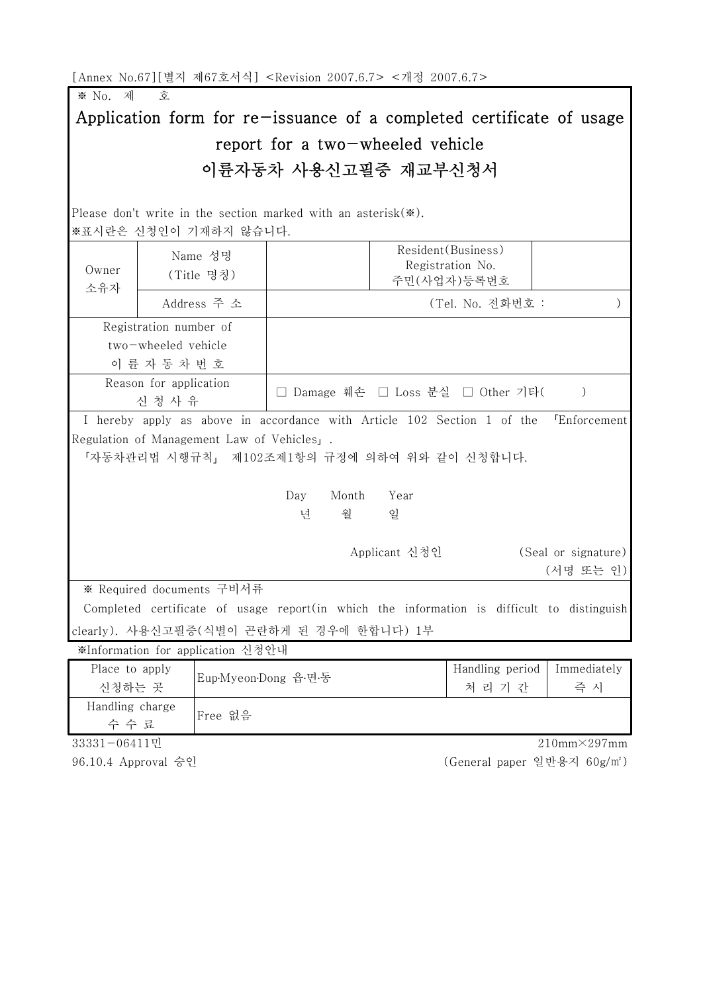[Annex No.67][별지 제67호서식] <Revision 2007.6.7> <개정 2007.6.7>

※ No. 제 호

## Application form for re-issuance of a completed certificate of usage report for a two-wheeled vehicle 이륜자동차 사용신고필증 재교부신청서

Please don't write in the section marked with an asterisk(※). ※표시란은 신청인이 기재하지 않습니다.

|                                      |                        | ※표시란은 신청인이 기재하지 않습니다.                    |                                                                                             |               |                                                        |                     |
|--------------------------------------|------------------------|------------------------------------------|---------------------------------------------------------------------------------------------|---------------|--------------------------------------------------------|---------------------|
| Owner<br>소유자                         |                        | Name 성명<br>(Title 명칭)                    |                                                                                             |               | Resident (Business)<br>Registration No.<br>주민(사업자)등록번호 |                     |
|                                      | Address 주 소            |                                          | (Tel. No. 전화번호 :                                                                            |               |                                                        |                     |
|                                      | Registration number of |                                          |                                                                                             |               |                                                        |                     |
| two-wheeled vehicle<br>이 륜 자 동 차 번 호 |                        |                                          |                                                                                             |               |                                                        |                     |
| Reason for application<br>신 청 사 유    |                        |                                          | Damage 훼손 □ Loss 분실 □ Other 기타(<br>$\left( \right)$                                         |               |                                                        |                     |
|                                      |                        |                                          | I hereby apply as above in accordance with Article 102 Section 1 of the                     |               |                                                        | <b>Enforcement</b>  |
|                                      |                        | Regulation of Management Law of Vehicles |                                                                                             |               |                                                        |                     |
|                                      |                        |                                          | 「자동차관리법 시행규칙」 제102조제1항의 규정에 의하여 위와 같이 신청합니다.                                                |               |                                                        |                     |
|                                      |                        |                                          |                                                                                             |               |                                                        |                     |
|                                      |                        |                                          | Month<br>Day                                                                                | Year          |                                                        |                     |
|                                      |                        |                                          | 월<br>년                                                                                      | 일             |                                                        |                     |
|                                      |                        |                                          |                                                                                             |               |                                                        |                     |
|                                      |                        |                                          |                                                                                             | Applicant 신청인 |                                                        | (Seal or signature) |
|                                      |                        |                                          |                                                                                             |               |                                                        | (서명 또는 인)           |
|                                      |                        | ※ Required documents 구비서류                |                                                                                             |               |                                                        |                     |
|                                      |                        |                                          | Completed certificate of usage report (in which the information is difficult to distinguish |               |                                                        |                     |
|                                      |                        |                                          | clearly). 사용신고필증(식별이 곤란하게 된 경우에 한합니다) 1부                                                    |               |                                                        |                     |
|                                      |                        | ※Information for application 신청안내        |                                                                                             |               |                                                        |                     |
|                                      |                        |                                          |                                                                                             |               |                                                        |                     |
| Place to apply<br>신청하는 곳             |                        | Eup-Myeon-Dong 읍·면·동                     |                                                                                             |               | Handling period                                        | Immediately         |
|                                      |                        |                                          |                                                                                             |               | 처 리 기 간                                                | 즉 시                 |
| Handling charge<br>Free 없음<br>수 수 료  |                        |                                          |                                                                                             |               |                                                        |                     |
| 0.0010101                            |                        |                                          |                                                                                             |               |                                                        | 01010               |

33331-06411민

96.10.4 Approval 승인

210mm×297mm (General paper 일반용지 60g/㎡)